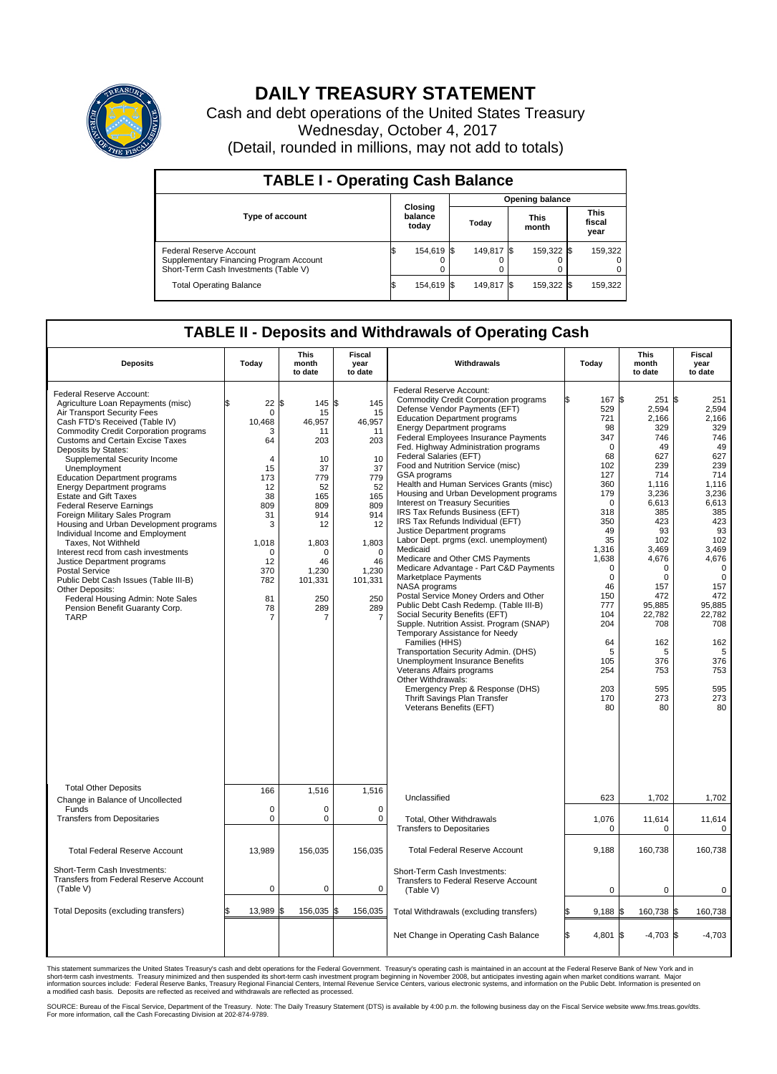

## **DAILY TREASURY STATEMENT**

Cash and debt operations of the United States Treasury Wednesday, October 4, 2017 (Detail, rounded in millions, may not add to totals)

| <b>TABLE I - Operating Cash Balance</b>                                                                            |     |                             |  |                        |  |                      |  |                               |  |  |  |
|--------------------------------------------------------------------------------------------------------------------|-----|-----------------------------|--|------------------------|--|----------------------|--|-------------------------------|--|--|--|
|                                                                                                                    |     |                             |  | <b>Opening balance</b> |  |                      |  |                               |  |  |  |
| <b>Type of account</b>                                                                                             |     | Closing<br>balance<br>today |  | Today                  |  | <b>This</b><br>month |  | <b>This</b><br>fiscal<br>year |  |  |  |
| <b>Federal Reserve Account</b><br>Supplementary Financing Program Account<br>Short-Term Cash Investments (Table V) |     | 154,619 \$                  |  | 149.817 \\$            |  | 159,322 \$           |  | 159,322                       |  |  |  |
| <b>Total Operating Balance</b>                                                                                     | I\$ | 154,619 \$                  |  | 149,817 \$             |  | 159,322 \$           |  | 159,322                       |  |  |  |

## **TABLE II - Deposits and Withdrawals of Operating Cash**

| <b>Deposits</b>                                                                                                                                                                                                                                                                                                                                                                                                                                                                                                                                                                                                                                                                                                                                                                                                                           | Today                                                                                                                                                                         | <b>This</b><br>month<br>to date                                                                                                                                     | <b>Fiscal</b><br>year<br>to date                                                                                                                                          | Withdrawals                                                                                                                                                                                                                                                                                                                                                                                                                                                                                                                                                                                                                                                                                                                                                                                                                                                                                                                                                                                                                                                                                                                                                                                                            | Today                                                                                                                                                                                                                                      | <b>This</b><br>month<br>to date                                                                                                                                                                                                                          | <b>Fiscal</b><br>year<br>to date                                                                                                                                                                                                                                  |
|-------------------------------------------------------------------------------------------------------------------------------------------------------------------------------------------------------------------------------------------------------------------------------------------------------------------------------------------------------------------------------------------------------------------------------------------------------------------------------------------------------------------------------------------------------------------------------------------------------------------------------------------------------------------------------------------------------------------------------------------------------------------------------------------------------------------------------------------|-------------------------------------------------------------------------------------------------------------------------------------------------------------------------------|---------------------------------------------------------------------------------------------------------------------------------------------------------------------|---------------------------------------------------------------------------------------------------------------------------------------------------------------------------|------------------------------------------------------------------------------------------------------------------------------------------------------------------------------------------------------------------------------------------------------------------------------------------------------------------------------------------------------------------------------------------------------------------------------------------------------------------------------------------------------------------------------------------------------------------------------------------------------------------------------------------------------------------------------------------------------------------------------------------------------------------------------------------------------------------------------------------------------------------------------------------------------------------------------------------------------------------------------------------------------------------------------------------------------------------------------------------------------------------------------------------------------------------------------------------------------------------------|--------------------------------------------------------------------------------------------------------------------------------------------------------------------------------------------------------------------------------------------|----------------------------------------------------------------------------------------------------------------------------------------------------------------------------------------------------------------------------------------------------------|-------------------------------------------------------------------------------------------------------------------------------------------------------------------------------------------------------------------------------------------------------------------|
| Federal Reserve Account:<br>Agriculture Loan Repayments (misc)<br>Air Transport Security Fees<br>Cash FTD's Received (Table IV)<br><b>Commodity Credit Corporation programs</b><br><b>Customs and Certain Excise Taxes</b><br>Deposits by States:<br>Supplemental Security Income<br>Unemployment<br><b>Education Department programs</b><br><b>Energy Department programs</b><br><b>Estate and Gift Taxes</b><br><b>Federal Reserve Earnings</b><br>Foreign Military Sales Program<br>Housing and Urban Development programs<br>Individual Income and Employment<br>Taxes, Not Withheld<br>Interest recd from cash investments<br>Justice Department programs<br><b>Postal Service</b><br>Public Debt Cash Issues (Table III-B)<br>Other Deposits:<br>Federal Housing Admin: Note Sales<br>Pension Benefit Guaranty Corp.<br><b>TARP</b> | 22<br>$\mathbf 0$<br>10,468<br>3<br>64<br>$\overline{4}$<br>15<br>173<br>12<br>38<br>809<br>31<br>3<br>1,018<br>$\mathbf 0$<br>12<br>370<br>782<br>81<br>78<br>$\overline{7}$ | 1\$<br>145<br>15<br>46,957<br>11<br>203<br>10<br>37<br>779<br>52<br>165<br>809<br>914<br>12<br>1,803<br>O<br>46<br>1,230<br>101,331<br>250<br>289<br>$\overline{7}$ | \$<br>145<br>15<br>46,957<br>11<br>203<br>10<br>37<br>779<br>52<br>165<br>809<br>914<br>12<br>1,803<br>$\Omega$<br>46<br>1,230<br>101,331<br>250<br>289<br>$\overline{7}$ | Federal Reserve Account:<br><b>Commodity Credit Corporation programs</b><br>Defense Vendor Payments (EFT)<br><b>Education Department programs</b><br><b>Energy Department programs</b><br>Federal Employees Insurance Payments<br>Fed. Highway Administration programs<br>Federal Salaries (EFT)<br>Food and Nutrition Service (misc)<br><b>GSA</b> programs<br>Health and Human Services Grants (misc)<br>Housing and Urban Development programs<br>Interest on Treasury Securities<br>IRS Tax Refunds Business (EFT)<br>IRS Tax Refunds Individual (EFT)<br>Justice Department programs<br>Labor Dept. prgms (excl. unemployment)<br>Medicaid<br>Medicare and Other CMS Payments<br>Medicare Advantage - Part C&D Payments<br>Marketplace Payments<br>NASA programs<br>Postal Service Money Orders and Other<br>Public Debt Cash Redemp. (Table III-B)<br>Social Security Benefits (EFT)<br>Supple. Nutrition Assist. Program (SNAP)<br>Temporary Assistance for Needy<br>Families (HHS)<br>Transportation Security Admin. (DHS)<br>Unemployment Insurance Benefits<br>Veterans Affairs programs<br>Other Withdrawals:<br>Emergency Prep & Response (DHS)<br>Thrift Savings Plan Transfer<br>Veterans Benefits (EFT) | 167 \$<br>529<br>721<br>98<br>347<br>0<br>68<br>102<br>127<br>360<br>179<br>$\Omega$<br>318<br>350<br>49<br>35<br>1,316<br>1,638<br>$\Omega$<br>$\mathbf 0$<br>46<br>150<br>777<br>104<br>204<br>64<br>5<br>105<br>254<br>203<br>170<br>80 | 251<br>2,594<br>2,166<br>329<br>746<br>49<br>627<br>239<br>714<br>1,116<br>3,236<br>6,613<br>385<br>423<br>93<br>102<br>3.469<br>4,676<br>$\Omega$<br>$\mathbf 0$<br>157<br>472<br>95.885<br>22,782<br>708<br>162<br>5<br>376<br>753<br>595<br>273<br>80 | ß.<br>251<br>2,594<br>2,166<br>329<br>746<br>49<br>627<br>239<br>714<br>1.116<br>3,236<br>6,613<br>385<br>423<br>93<br>102<br>3,469<br>4,676<br>$\mathbf 0$<br>$\mathbf 0$<br>157<br>472<br>95,885<br>22,782<br>708<br>162<br>5<br>376<br>753<br>595<br>273<br>80 |
| <b>Total Other Deposits</b>                                                                                                                                                                                                                                                                                                                                                                                                                                                                                                                                                                                                                                                                                                                                                                                                               | 166                                                                                                                                                                           | 1,516                                                                                                                                                               | 1,516                                                                                                                                                                     |                                                                                                                                                                                                                                                                                                                                                                                                                                                                                                                                                                                                                                                                                                                                                                                                                                                                                                                                                                                                                                                                                                                                                                                                                        |                                                                                                                                                                                                                                            |                                                                                                                                                                                                                                                          |                                                                                                                                                                                                                                                                   |
| Change in Balance of Uncollected<br>Funds                                                                                                                                                                                                                                                                                                                                                                                                                                                                                                                                                                                                                                                                                                                                                                                                 | $\mathbf 0$                                                                                                                                                                   | $\Omega$                                                                                                                                                            | $\Omega$                                                                                                                                                                  | Unclassified                                                                                                                                                                                                                                                                                                                                                                                                                                                                                                                                                                                                                                                                                                                                                                                                                                                                                                                                                                                                                                                                                                                                                                                                           | 623                                                                                                                                                                                                                                        | 1,702                                                                                                                                                                                                                                                    | 1,702                                                                                                                                                                                                                                                             |
| <b>Transfers from Depositaries</b>                                                                                                                                                                                                                                                                                                                                                                                                                                                                                                                                                                                                                                                                                                                                                                                                        | $\mathbf 0$                                                                                                                                                                   | 0                                                                                                                                                                   | 0                                                                                                                                                                         | <b>Total, Other Withdrawals</b><br><b>Transfers to Depositaries</b>                                                                                                                                                                                                                                                                                                                                                                                                                                                                                                                                                                                                                                                                                                                                                                                                                                                                                                                                                                                                                                                                                                                                                    | 1,076<br>$\mathbf 0$                                                                                                                                                                                                                       | 11,614<br>$\Omega$                                                                                                                                                                                                                                       | 11,614<br>0                                                                                                                                                                                                                                                       |
| <b>Total Federal Reserve Account</b>                                                                                                                                                                                                                                                                                                                                                                                                                                                                                                                                                                                                                                                                                                                                                                                                      | 13,989                                                                                                                                                                        | 156,035                                                                                                                                                             | 156,035                                                                                                                                                                   | <b>Total Federal Reserve Account</b>                                                                                                                                                                                                                                                                                                                                                                                                                                                                                                                                                                                                                                                                                                                                                                                                                                                                                                                                                                                                                                                                                                                                                                                   | 9,188                                                                                                                                                                                                                                      | 160,738                                                                                                                                                                                                                                                  | 160,738                                                                                                                                                                                                                                                           |
| Short-Term Cash Investments:<br><b>Transfers from Federal Reserve Account</b><br>(Table V)                                                                                                                                                                                                                                                                                                                                                                                                                                                                                                                                                                                                                                                                                                                                                | $\pmb{0}$                                                                                                                                                                     | 0                                                                                                                                                                   | 0                                                                                                                                                                         | Short-Term Cash Investments:<br>Transfers to Federal Reserve Account<br>(Table V)                                                                                                                                                                                                                                                                                                                                                                                                                                                                                                                                                                                                                                                                                                                                                                                                                                                                                                                                                                                                                                                                                                                                      | 0                                                                                                                                                                                                                                          | 0                                                                                                                                                                                                                                                        | 0                                                                                                                                                                                                                                                                 |
| Total Deposits (excluding transfers)                                                                                                                                                                                                                                                                                                                                                                                                                                                                                                                                                                                                                                                                                                                                                                                                      | 13,989<br>\$                                                                                                                                                                  | 156,035 \$<br>ß.                                                                                                                                                    | 156,035                                                                                                                                                                   | Total Withdrawals (excluding transfers)                                                                                                                                                                                                                                                                                                                                                                                                                                                                                                                                                                                                                                                                                                                                                                                                                                                                                                                                                                                                                                                                                                                                                                                | 9,188                                                                                                                                                                                                                                      | 160,738 \$<br>I\$                                                                                                                                                                                                                                        | 160,738                                                                                                                                                                                                                                                           |
|                                                                                                                                                                                                                                                                                                                                                                                                                                                                                                                                                                                                                                                                                                                                                                                                                                           |                                                                                                                                                                               |                                                                                                                                                                     |                                                                                                                                                                           | Net Change in Operating Cash Balance                                                                                                                                                                                                                                                                                                                                                                                                                                                                                                                                                                                                                                                                                                                                                                                                                                                                                                                                                                                                                                                                                                                                                                                   | 4,801 \$                                                                                                                                                                                                                                   | $-4,703$ \$                                                                                                                                                                                                                                              | $-4,703$                                                                                                                                                                                                                                                          |

This statement summarizes the United States Treasury's cash and debt operations for the Federal Government. Treasury's operating cash is maintained in an account at the Federal Reserve Bank of New York and in<br>short-term ca

SOURCE: Bureau of the Fiscal Service, Department of the Treasury. Note: The Daily Treasury Statement (DTS) is available by 4:00 p.m. the following business day on the Fiscal Service website www.fms.treas.gov/dts.<br>For more